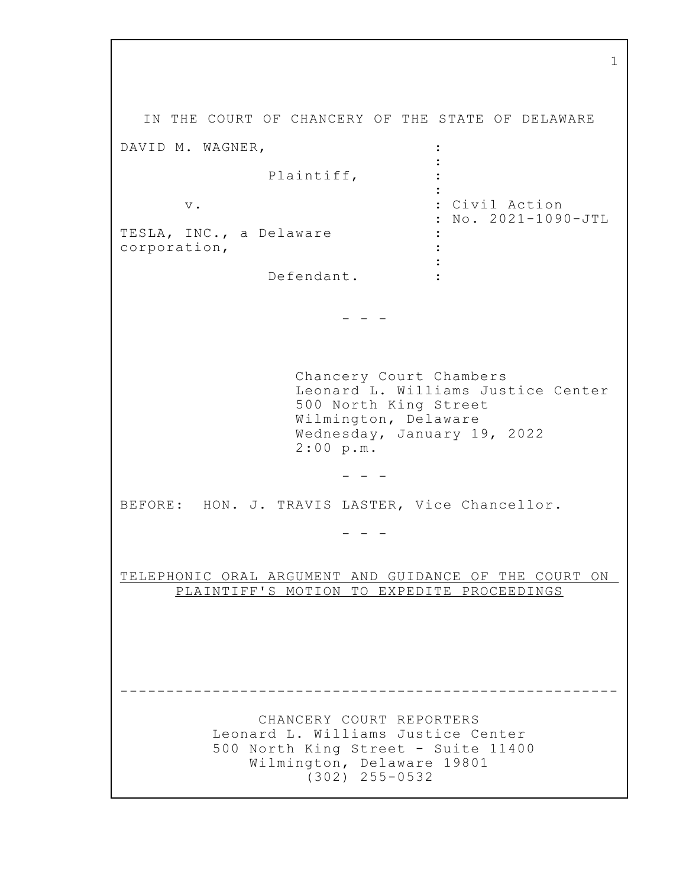IN THE COURT OF CHANCERY OF THE STATE OF DELAWARE DAVID M. WAGNER,  $\ddot{\cdot}$  $\ddot{\phantom{a}}$ Plaintiff, : Civil Action  $\mathbf v$  . : No. 2021-1090-JTL TESLA, INC., a Delaware corporation,  $\ddot{\cdot}$  $\mathbb{R}^2$ Defendant.  $\mathbb{R}^2$  $\frac{1}{2} \left( \frac{1}{2} \right) = \frac{1}{2} \left( \frac{1}{2} \right)$ Chancery Court Chambers Leonard L. Williams Justice Center 500 North King Street Wilmington, Delaware Wednesday, January 19, 2022  $2:00 p.m.$  $\begin{array}{ccccccccc} - & & - & & - & & - \end{array}$ BEFORE: HON. J. TRAVIS LASTER, Vice Chancellor.  $\begin{array}{cccccccccc} - & & - & & - & & - \end{array}$ TELEPHONIC ORAL ARGUMENT AND GUIDANCE OF THE COURT ON PLAINTIFF'S MOTION TO EXPEDITE PROCEEDINGS CHANCERY COURT REPORTERS Leonard L. Williams Justice Center 500 North King Street - Suite 11400 Wilmington, Delaware 19801  $(302)$  255-0532

 $\mathbf{1}$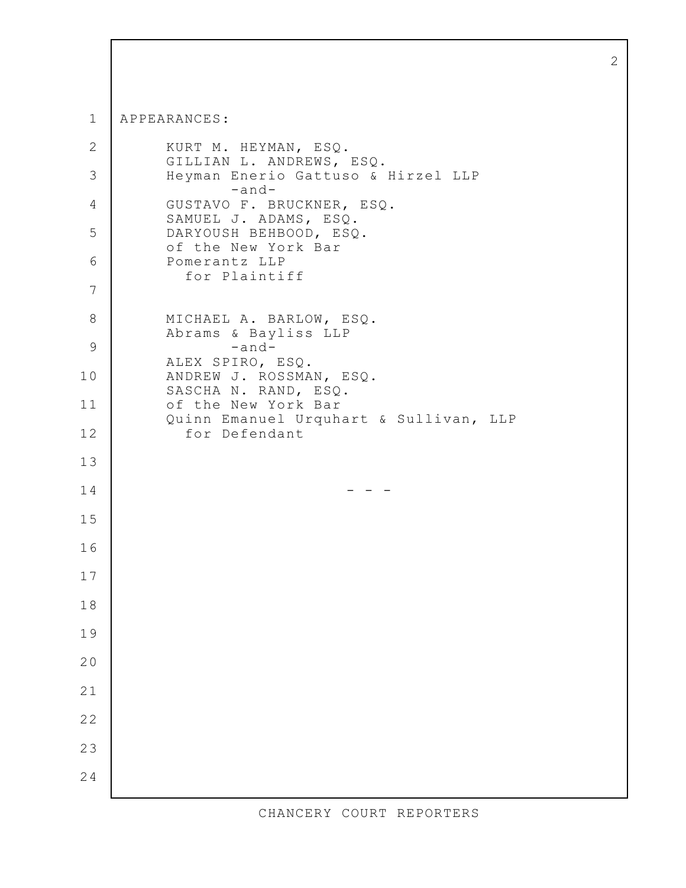$\mathbf 1$ APPEARANCES:  $\mathbf{2}$ KURT M. HEYMAN, ESQ. GILLIAN L. ANDREWS, ESQ. 3 Heyman Enerio Gattuso & Hirzel LLP  $-and \overline{4}$ GUSTAVO F. BRUCKNER, ESQ. SAMUEL J. ADAMS, ESQ. 5 DARYOUSH BEHBOOD, ESQ. of the New York Bar 6 Pomerantz LLP for Plaintiff  $\overline{7}$ 8 MICHAEL A. BARLOW, ESQ. Abrams & Bayliss LLP 9  $-and-$ ALEX SPIRO, ESQ. 10 ANDREW J. ROSSMAN, ESQ. SASCHA N. RAND, ESQ.  $11$ of the New York Bar Quinn Emanuel Urquhart & Sullivan, LLP  $12$ for Defendant  $13$ 14  $-$ 15 16 17 18 19 20  $21$  $22$ 23 24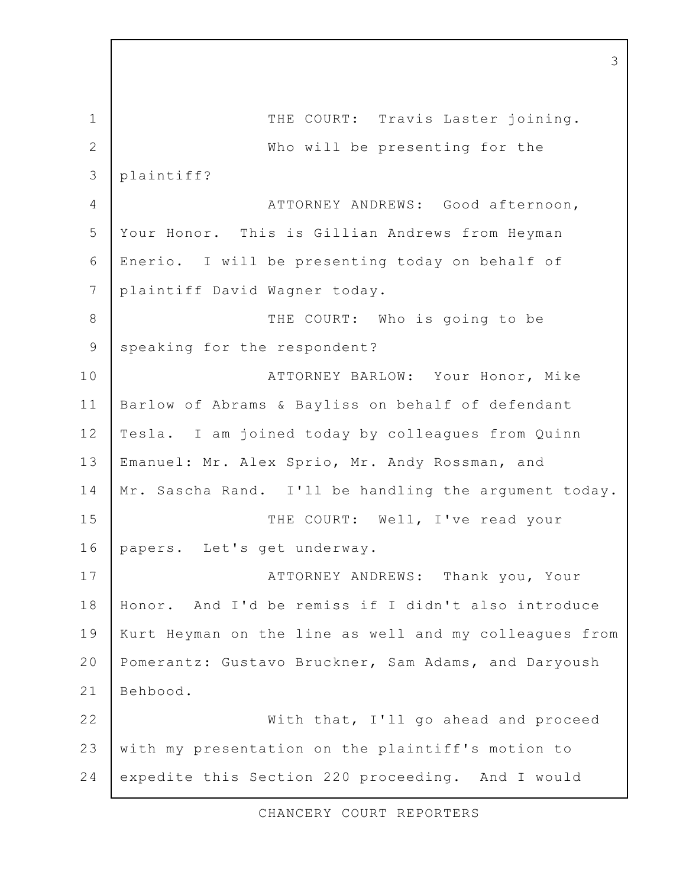$\mathbf 1$ THE COURT: Travis Laster joining.  $\overline{2}$ Who will be presenting for the plaintiff? 3  $\overline{4}$ ATTORNEY ANDREWS: Good afternoon, 5 Your Honor. This is Gillian Andrews from Heyman 6 Enerio. I will be presenting today on behalf of plaintiff David Wagner today.  $\overline{7}$ 8 THE COURT: Who is going to be speaking for the respondent? 9 10 ATTORNEY BARLOW: Your Honor, Mike  $11$ Barlow of Abrams & Bayliss on behalf of defendant  $12$ Tesla. I am joined today by colleagues from Quinn  $13$ Emanuel: Mr. Alex Sprio, Mr. Andy Rossman, and  $14$ Mr. Sascha Rand. I'll be handling the argument today. THE COURT: Well, I've read your 15 16 papers. Let's get underway.  $17$ ATTORNEY ANDREWS: Thank you, Your 18 And I'd be remiss if I didn't also introduce Honor. 19 Kurt Heyman on the line as well and my colleagues from  $20$ Pomerantz: Gustavo Bruckner, Sam Adams, and Daryoush  $21$ Behbood.  $22$ With that, I'll go ahead and proceed  $2.3$ with my presentation on the plaintiff's motion to 24 expedite this Section 220 proceeding. And I would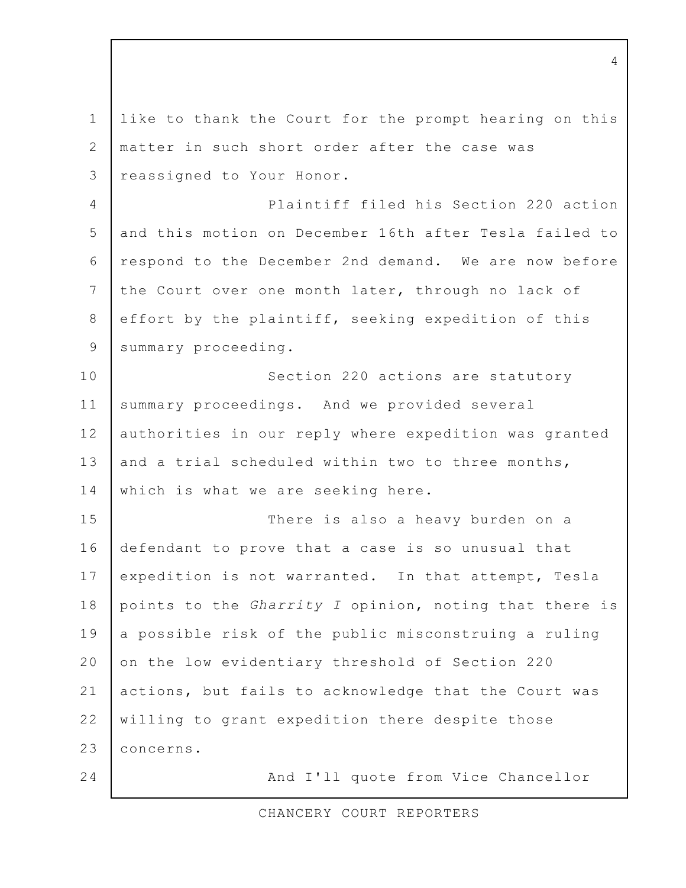like to thank the Court for the prompt hearing on this  $\mathbf 1$ 2 matter in such short order after the case was reassigned to Your Honor. 3 Plaintiff filed his Section 220 action  $\overline{4}$ 5 and this motion on December 16th after Tesla failed to 6 respond to the December 2nd demand. We are now before 7 the Court over one month later, through no lack of 8 effort by the plaintiff, seeking expedition of this 9 summary proceeding. 10 Section 220 actions are statutory  $11$ summary proceedings. And we provided several  $12$ authorities in our reply where expedition was granted  $13$ and a trial scheduled within two to three months,  $14$ which is what we are seeking here. 15 There is also a heavy burden on a  $16$ defendant to prove that a case is so unusual that 17 expedition is not warranted. In that attempt, Tesla points to the Gharrity I opinion, noting that there is 18 19 a possible risk of the public misconstruing a ruling 20 on the low evidentiary threshold of Section 220 actions, but fails to acknowledge that the Court was  $21$  $22$ willing to grant expedition there despite those  $2.3$ concerns. 24 And I'll quote from Vice Chancellor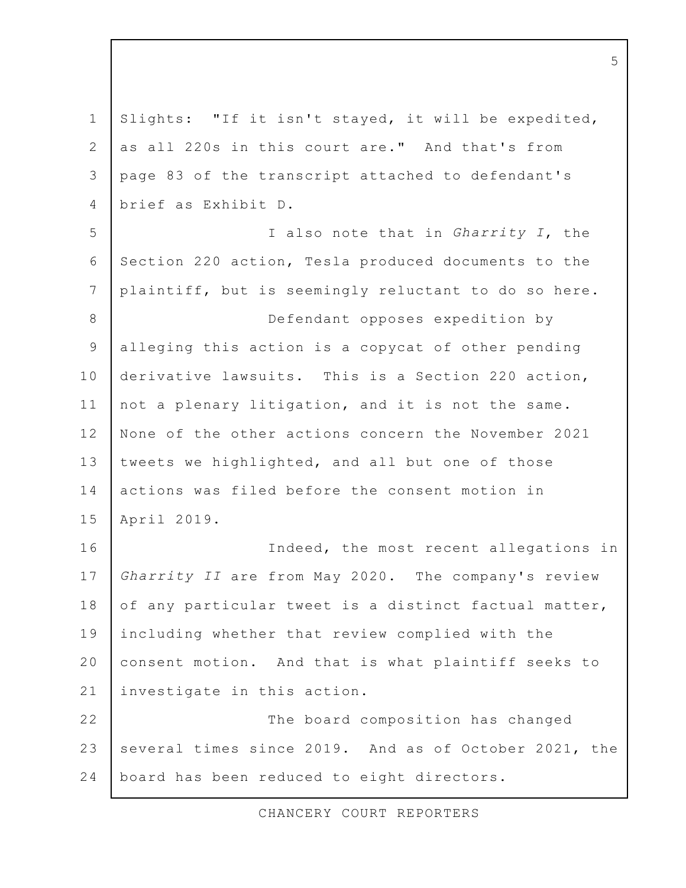Slights: "If it isn't stayed, it will be expedited,  $\mathbf 1$ 2 as all 220s in this court are." And that's from page 83 of the transcript attached to defendant's  $\mathcal{E}$ brief as Exhibit D.  $\overline{4}$ I also note that in Gharrity I, the 5 6 Section 220 action, Tesla produced documents to the  $7\overline{ }$ plaintiff, but is seemingly reluctant to do so here. 8 Defendant opposes expedition by alleging this action is a copycat of other pending 9 10 derivative lawsuits. This is a Section 220 action,  $11$ not a plenary litigation, and it is not the same.  $12$ None of the other actions concern the November 2021  $13$ tweets we highlighted, and all but one of those 14 actions was filed before the consent motion in  $15$ April 2019. 16 Indeed, the most recent allegations in 17 Gharrity II are from May 2020. The company's review 18 of any particular tweet is a distinct factual matter, 19 including whether that review complied with the  $20$ consent motion. And that is what plaintiff seeks to  $21$ investigate in this action.  $22$ The board composition has changed  $2.3$ several times since 2019. And as of October 2021, the 24 board has been reduced to eight directors.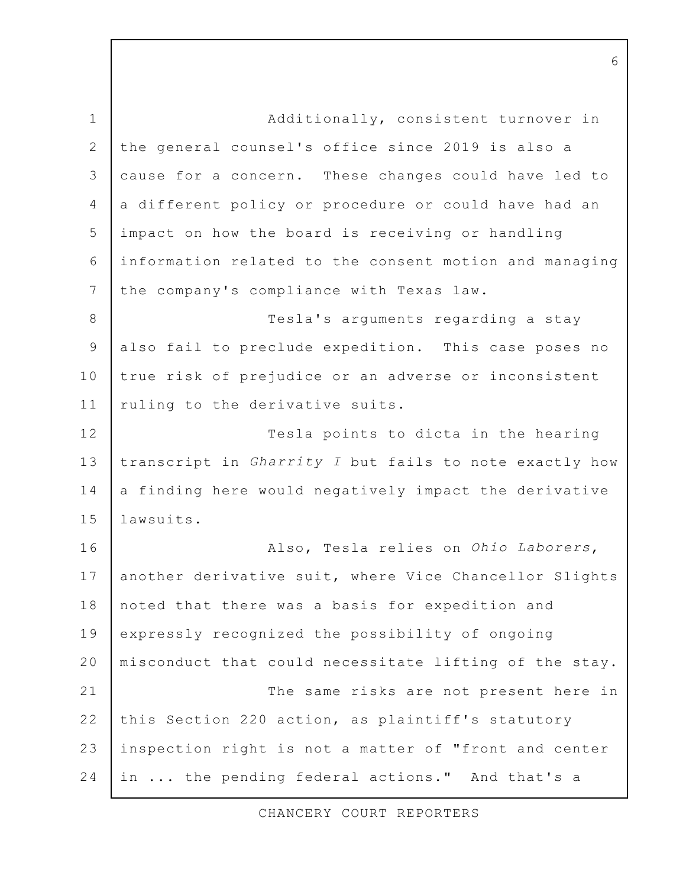Additionally, consistent turnover in  $\mathbf{1}$  $\overline{2}$ the general counsel's office since 2019 is also a cause for a concern. These changes could have led to 3 a different policy or procedure or could have had an  $\overline{4}$ 5 impact on how the board is receiving or handling information related to the consent motion and managing 6 7 the company's compliance with Texas law. 8 Tesla's arguments regarding a stay also fail to preclude expedition. This case poses no 9 10 true risk of prejudice or an adverse or inconsistent ruling to the derivative suits.  $11$  $12$ Tesla points to dicta in the hearing  $13$ transcript in Gharrity I but fails to note exactly how 14 a finding here would negatively impact the derivative  $1.5$ lawsuits. 16 Also, Tesla relies on Ohio Laborers, 17 another derivative suit, where Vice Chancellor Slights 18 noted that there was a basis for expedition and 19 expressly recognized the possibility of ongoing  $20$ misconduct that could necessitate lifting of the stay.  $21$ The same risks are not present here in  $22$ this Section 220 action, as plaintiff's statutory  $2.3$ inspection right is not a matter of "front and center 24 in ... the pending federal actions." And that's a

CHANCERY COURT REPORTERS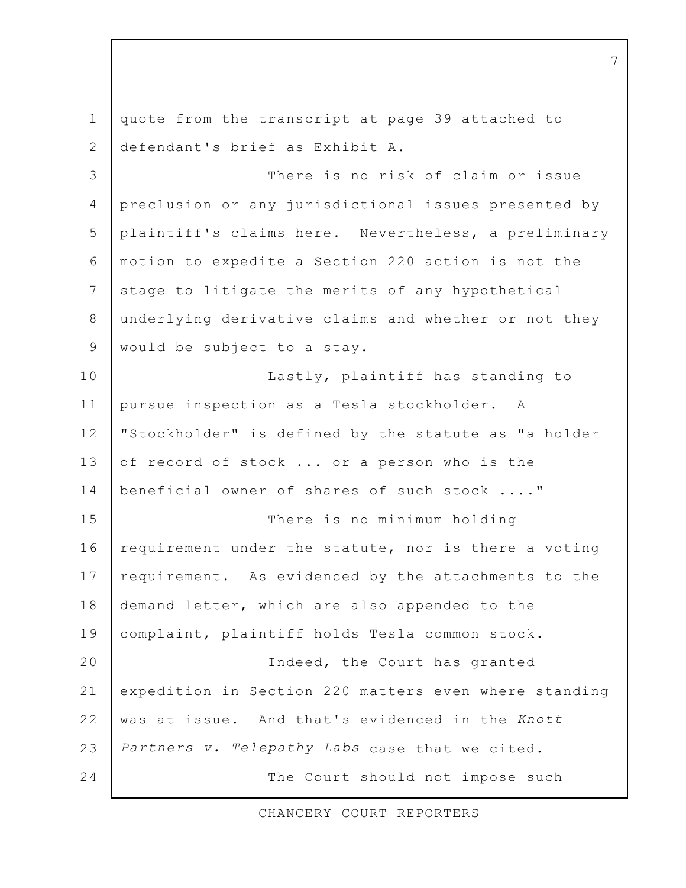quote from the transcript at page 39 attached to  $\mathbf{1}$ defendant's brief as Exhibit A.  $\overline{2}$ There is no risk of claim or issue 3  $\overline{4}$ preclusion or any jurisdictional issues presented by 5 plaintiff's claims here. Nevertheless, a preliminary motion to expedite a Section 220 action is not the 6 7 stage to litigate the merits of any hypothetical 8 underlying derivative claims and whether or not they would be subject to a stay. 9 Lastly, plaintiff has standing to 10  $11$ pursue inspection as a Tesla stockholder. A  $12$ "Stockholder" is defined by the statute as "a holder  $13$ of record of stock ... or a person who is the beneficial owner of shares of such stock ...."  $14$ 15 There is no minimum holding  $16$ requirement under the statute, nor is there a voting 17 requirement. As evidenced by the attachments to the 18 demand letter, which are also appended to the 19 complaint, plaintiff holds Tesla common stock.  $20$ Indeed, the Court has granted  $21$ expedition in Section 220 matters even where standing  $22$ was at issue. And that's evidenced in the Knott  $2.3$ Partners v. Telepathy Labs case that we cited. 24 The Court should not impose such

CHANCERY COURT REPORTERS

 $7\phantom{.0}$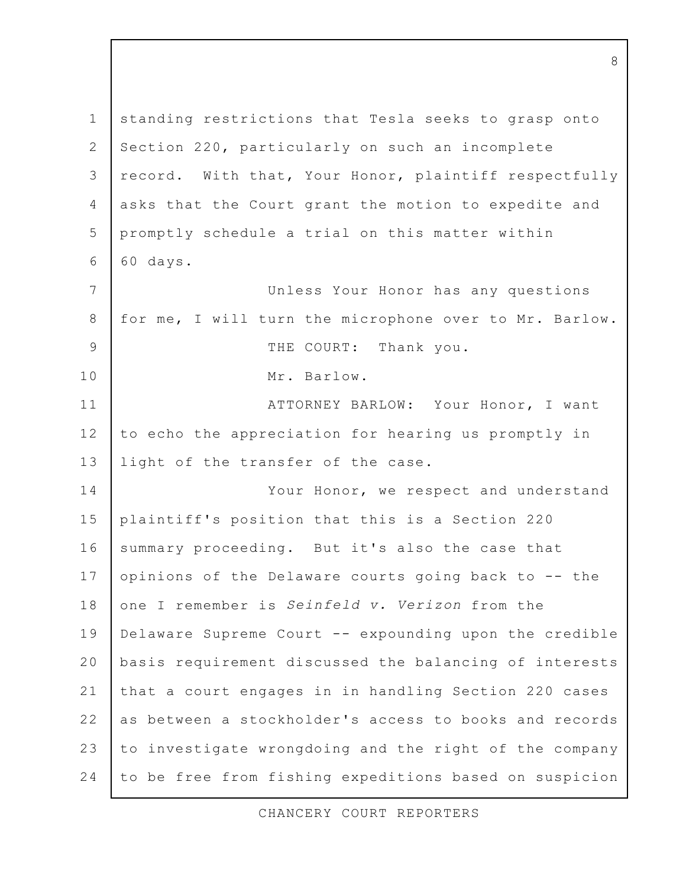$\mathbf 1$ standing restrictions that Tesla seeks to grasp onto  $\overline{2}$ Section 220, particularly on such an incomplete record. With that, Your Honor, plaintiff respectfully  $\mathcal{E}$  $\overline{4}$ asks that the Court grant the motion to expedite and 5 promptly schedule a trial on this matter within 6 60 days. 7 Unless Your Honor has any questions 8 for me, I will turn the microphone over to Mr. Barlow.  $\mathsf{Q}$ THE COURT: Thank you. 10 Mr. Barlow.  $11$ ATTORNEY BARLOW: Your Honor, I want  $12$ to echo the appreciation for hearing us promptly in  $13$ light of the transfer of the case. 14 Your Honor, we respect and understand  $15$ plaintiff's position that this is a Section 220  $16$ summary proceeding. But it's also the case that 17 opinions of the Delaware courts going back to -- the one I remember is Seinfeld v. Verizon from the 18 19 Delaware Supreme Court -- expounding upon the credible 20 basis requirement discussed the balancing of interests  $21$ that a court engages in in handling Section 220 cases  $22$ as between a stockholder's access to books and records  $2.3$ to investigate wrongdoing and the right of the company 24 to be free from fishing expeditions based on suspicion

8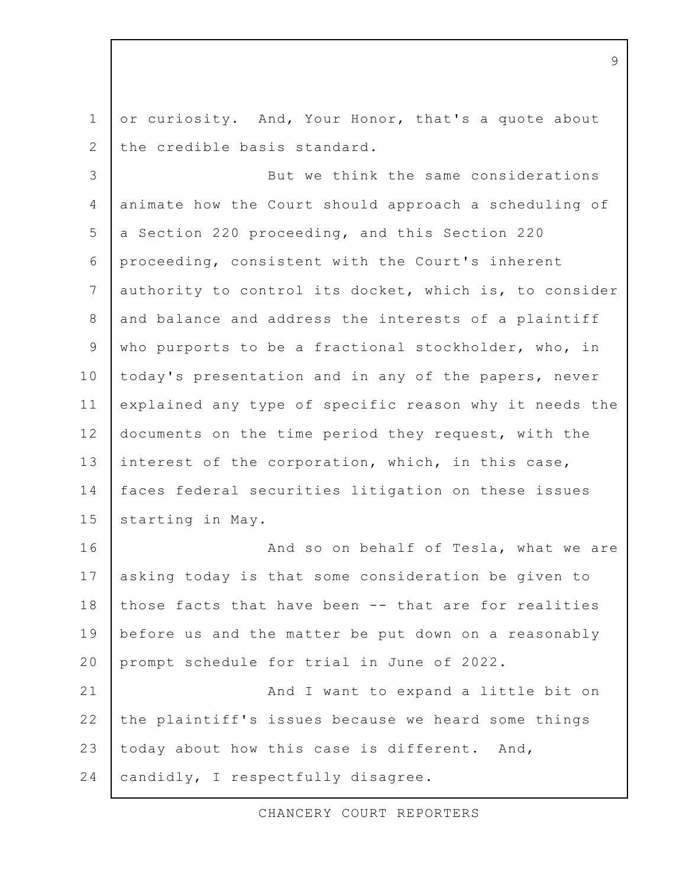$\mathbf 1$ or curiosity. And, Your Honor, that's a quote about  $\overline{2}$ the credible basis standard.

But we think the same considerations 3  $\overline{4}$ animate how the Court should approach a scheduling of 5 a Section 220 proceeding, and this Section 220 proceeding, consistent with the Court's inherent 6  $7\overline{ }$ authority to control its docket, which is, to consider and balance and address the interests of a plaintiff 8 9 who purports to be a fractional stockholder, who, in 10 today's presentation and in any of the papers, never  $11$ explained any type of specific reason why it needs the  $12$ documents on the time period they request, with the  $13$ interest of the corporation, which, in this case, 14 faces federal securities litigation on these issues  $15$ starting in May.

 $16$ And so on behalf of Tesla, what we are 17 asking today is that some consideration be given to 18 those facts that have been -- that are for realities 19 before us and the matter be put down on a reasonably 20 prompt schedule for trial in June of 2022.  $21$ And I want to expand a little bit on  $22$ the plaintiff's issues because we heard some things

 $2.3$ today about how this case is different. And,

24 candidly, I respectfully disagree.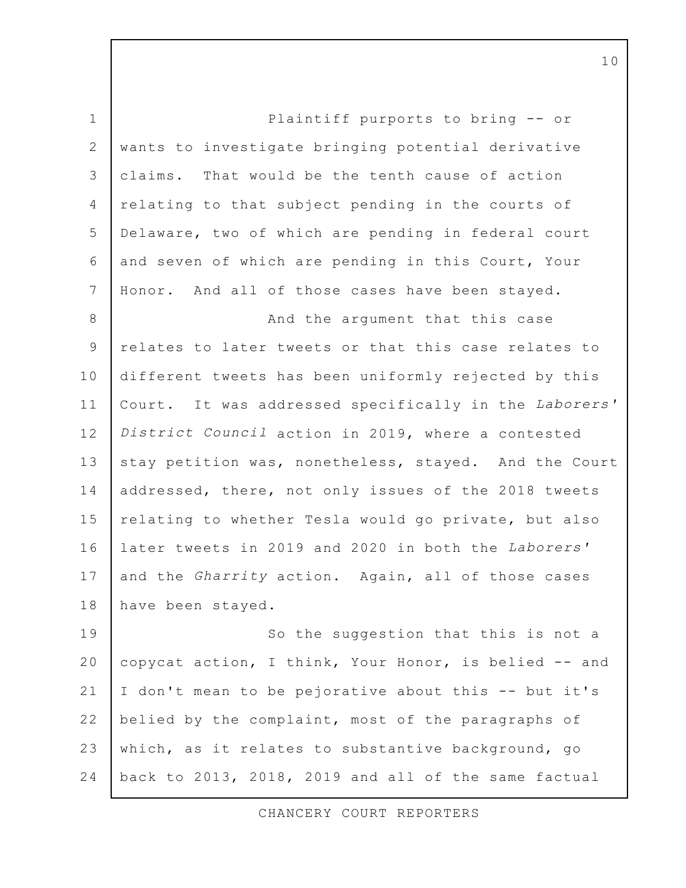$\mathbf{1}$ Plaintiff purports to bring -- or  $\overline{2}$ wants to investigate bringing potential derivative That would be the tenth cause of action  $\mathcal{E}$ claims.  $\overline{4}$ relating to that subject pending in the courts of 5 Delaware, two of which are pending in federal court 6 and seven of which are pending in this Court, Your 7 Honor. And all of those cases have been stayed. 8 And the argument that this case 9 relates to later tweets or that this case relates to 10 different tweets has been uniformly rejected by this  $11$ Court. It was addressed specifically in the Laborers'  $12$ District Council action in 2019, where a contested  $13$ stay petition was, nonetheless, stayed. And the Court 14 addressed, there, not only issues of the 2018 tweets  $15$ relating to whether Tesla would go private, but also  $16$ later tweets in 2019 and 2020 in both the Laborers' 17 and the *Gharrity* action. Again, all of those cases 18 have been stayed. 19 So the suggestion that this is not a

20 copycat action, I think, Your Honor, is belied -- and  $21$ I don't mean to be pejorative about this -- but it's  $22$ belied by the complaint, most of the paragraphs of  $2.3$ which, as it relates to substantive background, go 24 back to 2013, 2018, 2019 and all of the same factual

CHANCERY COURT REPORTERS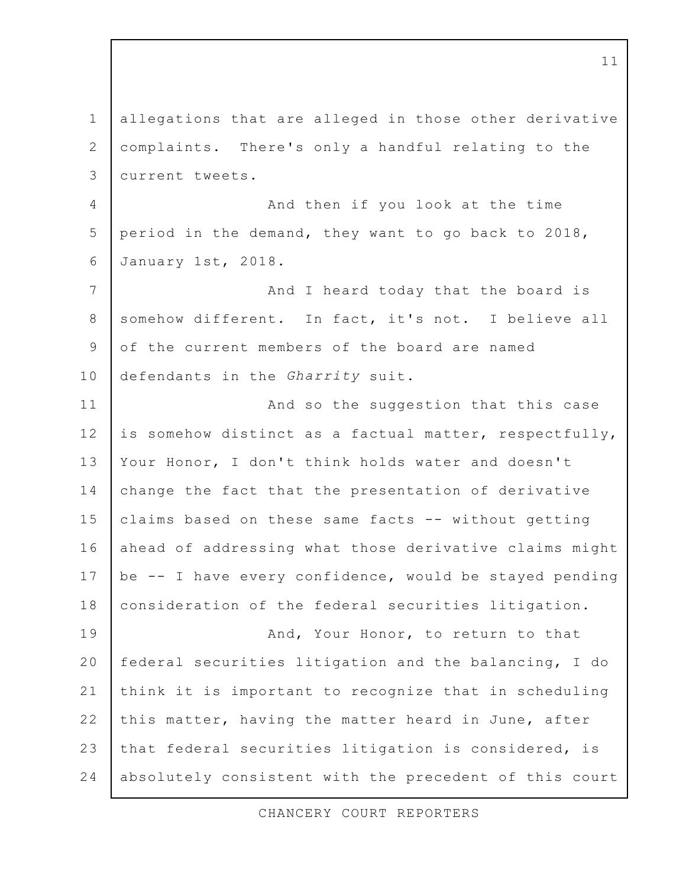allegations that are alleged in those other derivative  $\mathbf 1$  $\overline{2}$ complaints. There's only a handful relating to the 3 current tweets. And then if you look at the time  $\overline{4}$ 5 period in the demand, they want to go back to 2018, 6 January 1st, 2018. And I heard today that the board is  $\overline{7}$ somehow different. In fact, it's not. I believe all 8 of the current members of the board are named 9 10 defendants in the Gharrity suit.  $11$ And so the suggestion that this case  $12$ is somehow distinct as a factual matter, respectfully,  $13$ Your Honor, I don't think holds water and doesn't 14 change the fact that the presentation of derivative  $15$ claims based on these same facts -- without getting  $16$ ahead of addressing what those derivative claims might 17 be -- I have every confidence, would be stayed pending 18 consideration of the federal securities litigation. 19 And, Your Honor, to return to that 20 federal securities litigation and the balancing, I do  $21$ think it is important to recognize that in scheduling  $22$ this matter, having the matter heard in June, after  $2.3$ that federal securities litigation is considered, is 24 absolutely consistent with the precedent of this court

CHANCERY COURT REPORTERS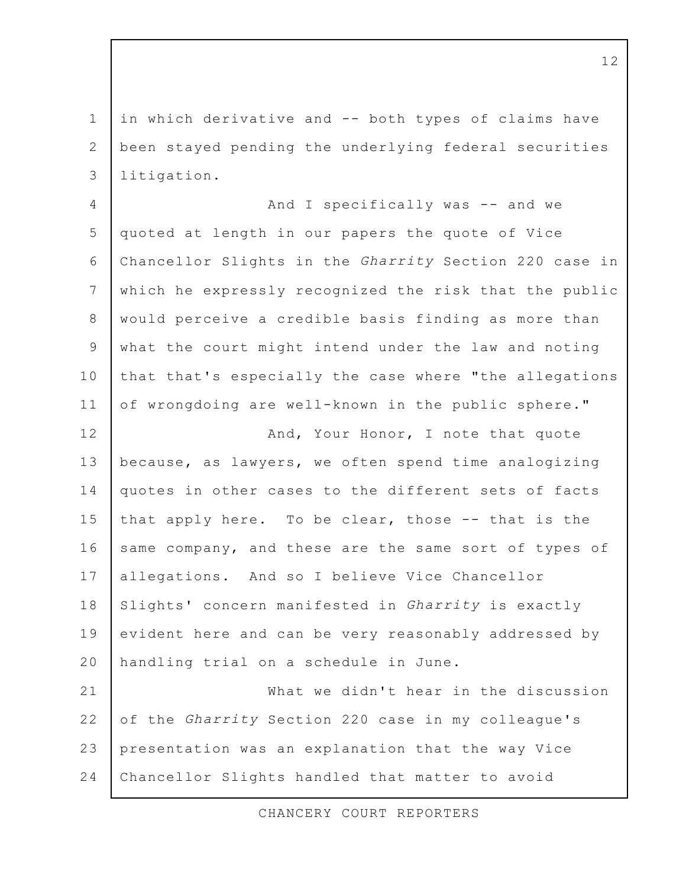in which derivative and -- both types of claims have  $\mathbf 1$ 2 been stayed pending the underlying federal securities litigation. 3

And I specifically was -- and we  $\overline{4}$ 5 quoted at length in our papers the quote of Vice Chancellor Slights in the Gharrity Section 220 case in 6 which he expressly recognized the risk that the public  $7\overline{ }$ 8 would perceive a credible basis finding as more than what the court might intend under the law and noting 9 that that's especially the case where "the allegations 10  $11$ of wrongdoing are well-known in the public sphere."

And, Your Honor, I note that quote  $12$ because, as lawyers, we often spend time analogizing  $13$ 14 quotes in other cases to the different sets of facts  $15$ that apply here. To be clear, those -- that is the  $16$ same company, and these are the same sort of types of 17 allegations. And so I believe Vice Chancellor 18 Slights' concern manifested in Gharrity is exactly 19 evident here and can be very reasonably addressed by 20 handling trial on a schedule in June.

 $21$ What we didn't hear in the discussion  $22$ of the Gharrity Section 220 case in my colleague's  $2.3$ presentation was an explanation that the way Vice 24 Chancellor Slights handled that matter to avoid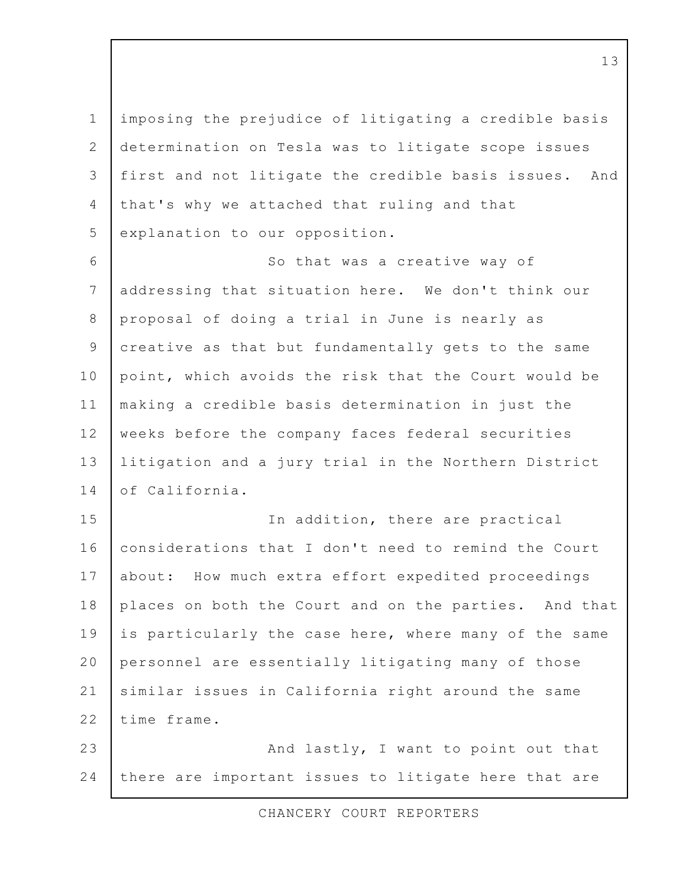imposing the prejudice of litigating a credible basis  $\mathbf 1$  $\overline{2}$ determination on Tesla was to litigate scope issues first and not litigate the credible basis issues. 3 And  $\overline{4}$ that's why we attached that ruling and that 5 explanation to our opposition.

6 So that was a creative way of  $7\overline{ }$ addressing that situation here. We don't think our 8 proposal of doing a trial in June is nearly as creative as that but fundamentally gets to the same 9 10 point, which avoids the risk that the Court would be  $11$ making a credible basis determination in just the  $12$ weeks before the company faces federal securities  $13$ litigation and a jury trial in the Northern District  $14$ of California.

15 In addition, there are practical  $16$ considerations that I don't need to remind the Court 17 How much extra effort expedited proceedings about: 18 places on both the Court and on the parties. And that 19 is particularly the case here, where many of the same 20 personnel are essentially litigating many of those  $21$ similar issues in California right around the same time frame.  $22$ 

 $2.3$ And lastly, I want to point out that 24 there are important issues to litigate here that are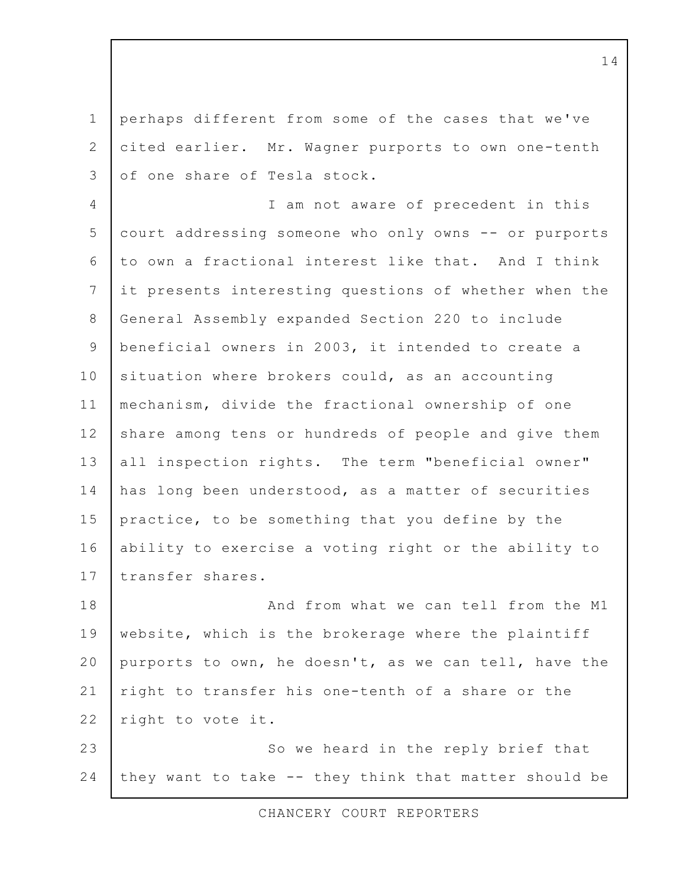perhaps different from some of the cases that we've  $\mathbf 1$ 2 cited earlier. Mr. Wagner purports to own one-tenth of one share of Tesla stock.  $\mathcal{E}$ 

I am not aware of precedent in this  $\overline{4}$ 5 court addressing someone who only owns -- or purports to own a fractional interest like that. And I think 6  $7\overline{ }$ it presents interesting questions of whether when the 8 General Assembly expanded Section 220 to include beneficial owners in 2003, it intended to create a 9 10 situation where brokers could, as an accounting  $11$ mechanism, divide the fractional ownership of one  $12$ share among tens or hundreds of people and give them  $13$ all inspection rights. The term "beneficial owner" 14 has long been understood, as a matter of securities  $15$ practice, to be something that you define by the  $16$ ability to exercise a voting right or the ability to  $17$ transfer shares.

18 And from what we can tell from the M1 19 website, which is the brokerage where the plaintiff 20 purports to own, he doesn't, as we can tell, have the  $21$ right to transfer his one-tenth of a share or the  $22$ right to vote it.  $2.3$ So we heard in the reply brief that

24 they want to take -- they think that matter should be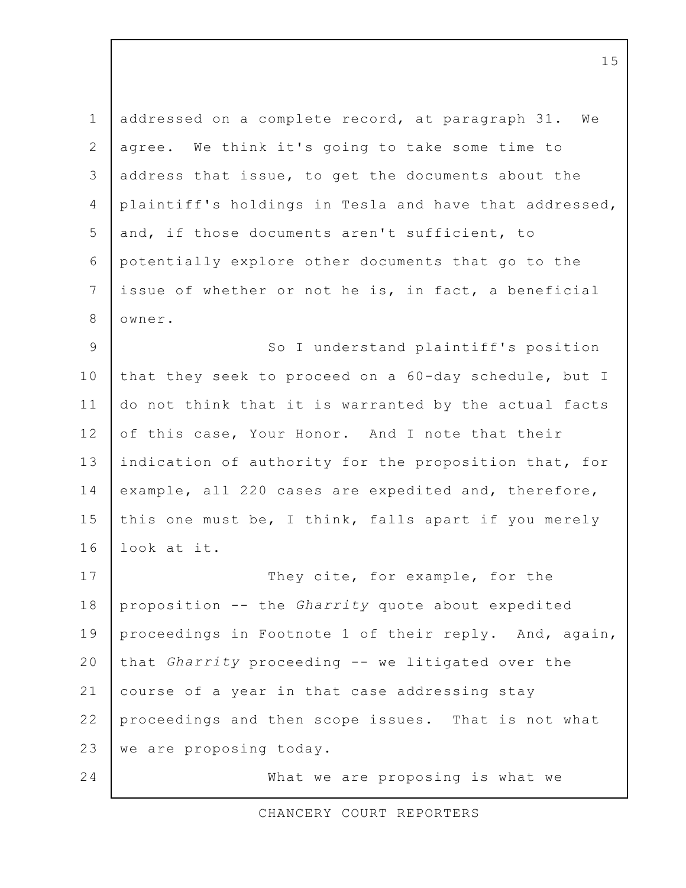$\mathbf 1$ addressed on a complete record, at paragraph 31. We 2 We think it's going to take some time to agree.  $\mathcal{E}$ address that issue, to get the documents about the  $\overline{4}$ plaintiff's holdings in Tesla and have that addressed, 5 and, if those documents aren't sufficient, to 6 potentially explore other documents that go to the  $7\overline{ }$ issue of whether or not he is, in fact, a beneficial 8 owner. So I understand plaintiff's position 9 10 that they seek to proceed on a 60-day schedule, but I  $11$ do not think that it is warranted by the actual facts  $12$ of this case, Your Honor. And I note that their

 $13$ indication of authority for the proposition that, for 14 example, all 220 cases are expedited and, therefore,  $15$ this one must be, I think, falls apart if you merely  $16$ look at it.

17 They cite, for example, for the 18 proposition -- the Gharrity quote about expedited 19 proceedings in Footnote 1 of their reply. And, again, 20 that Gharrity proceeding -- we litigated over the  $21$ course of a year in that case addressing stay  $22$ proceedings and then scope issues. That is not what  $2.3$ we are proposing today.

24

What we are proposing is what we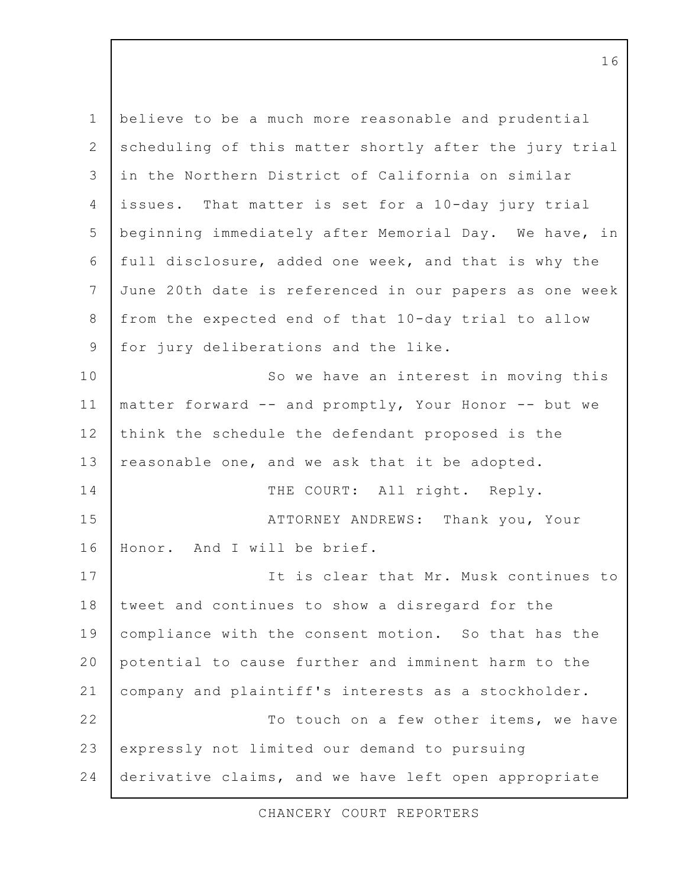$\mathbf 1$ believe to be a much more reasonable and prudential 2 scheduling of this matter shortly after the jury trial in the Northern District of California on similar  $\mathcal{E}$ That matter is set for a 10-day jury trial  $\overline{4}$ issues. 5 beginning immediately after Memorial Day. We have, in 6 full disclosure, added one week, and that is why the 7 June 20th date is referenced in our papers as one week 8 from the expected end of that 10-day trial to allow for jury deliberations and the like. 9 10 So we have an interest in moving this  $11$ matter forward -- and promptly, Your Honor -- but we  $12$ think the schedule the defendant proposed is the  $13$ reasonable one, and we ask that it be adopted.  $14$ THE COURT: All right. Reply. 15 ATTORNEY ANDREWS: Thank you, Your 16 Honor. And I will be brief. 17 It is clear that Mr. Musk continues to 18 tweet and continues to show a disregard for the 19 compliance with the consent motion. So that has the 20 potential to cause further and imminent harm to the  $21$ company and plaintiff's interests as a stockholder.  $22$ To touch on a few other items, we have 23 expressly not limited our demand to pursuing 24 derivative claims, and we have left open appropriate

CHANCERY COURT REPORTERS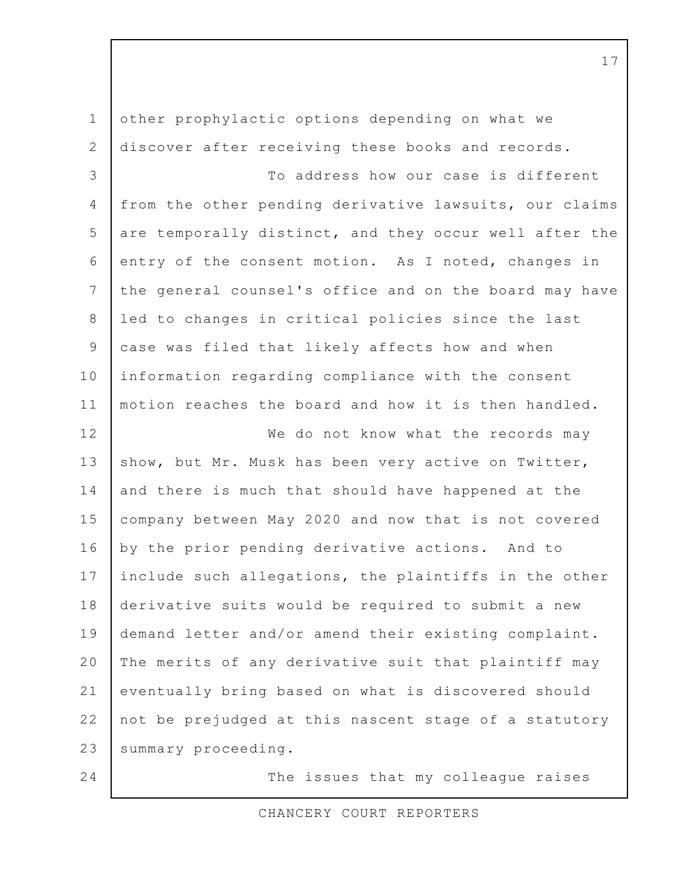other prophylactic options depending on what we  $\mathbf 1$  $\overline{2}$ discover after receiving these books and records. To address how our case is different 3  $\overline{4}$ from the other pending derivative lawsuits, our claims 5 are temporally distinct, and they occur well after the 6 entry of the consent motion. As I noted, changes in 7 the general counsel's office and on the board may have led to changes in critical policies since the last 8 case was filed that likely affects how and when 9 10 information regarding compliance with the consent motion reaches the board and how it is then handled.  $11$  $12$ We do not know what the records may  $13$ show, but Mr. Musk has been very active on Twitter, 14 and there is much that should have happened at the  $15$ company between May 2020 and now that is not covered  $16$ by the prior pending derivative actions. And to 17 include such allegations, the plaintiffs in the other 18 derivative suits would be required to submit a new 19 demand letter and/or amend their existing complaint. 20 The merits of any derivative suit that plaintiff may  $21$ eventually bring based on what is discovered should  $22$ not be prejudged at this nascent stage of a statutory  $2.3$ summary proceeding. 24 The issues that my colleague raises

CHANCERY COURT REPORTERS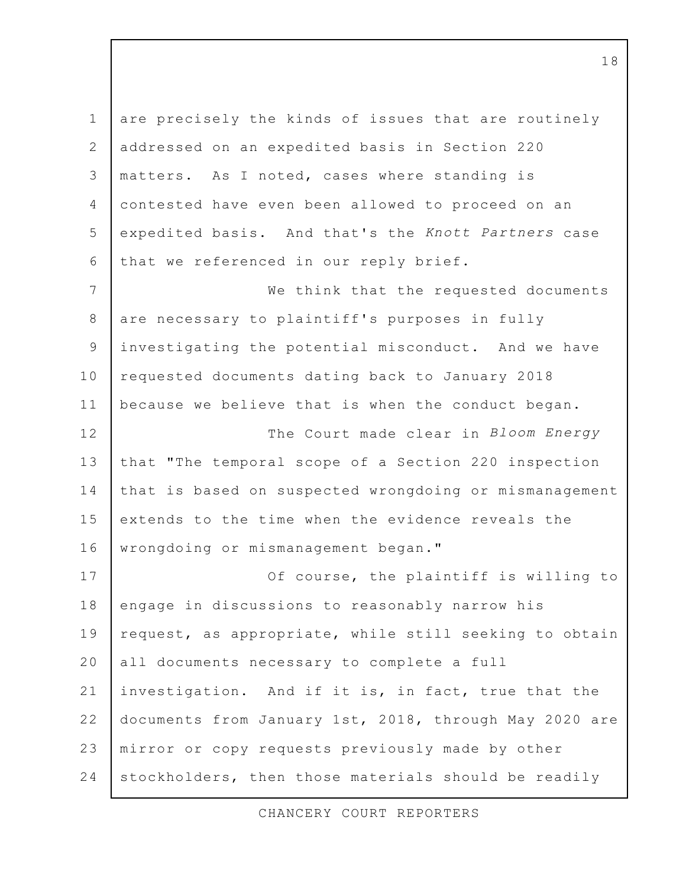are precisely the kinds of issues that are routinely  $\mathbf 1$  $\overline{2}$ addressed on an expedited basis in Section 220 matters. As I noted, cases where standing is  $\mathcal{E}$  $\overline{4}$ contested have even been allowed to proceed on an 5 expedited basis. And that's the Knott Partners case 6 that we referenced in our reply brief.  $\overline{7}$ We think that the requested documents 8 are necessary to plaintiff's purposes in fully investigating the potential misconduct. And we have 9 10 requested documents dating back to January 2018  $11$ because we believe that is when the conduct began.  $12$ The Court made clear in Bloom Energy  $13$ that "The temporal scope of a Section 220 inspection 14 that is based on suspected wrongdoing or mismanagement  $15$ extends to the time when the evidence reveals the  $16$ wrongdoing or mismanagement began."  $17$ Of course, the plaintiff is willing to 18 engage in discussions to reasonably narrow his 19 request, as appropriate, while still seeking to obtain 20 all documents necessary to complete a full  $21$ investigation. And if it is, in fact, true that the  $22$ documents from January 1st, 2018, through May 2020 are  $2.3$ mirror or copy requests previously made by other 24 stockholders, then those materials should be readily

CHANCERY COURT REPORTERS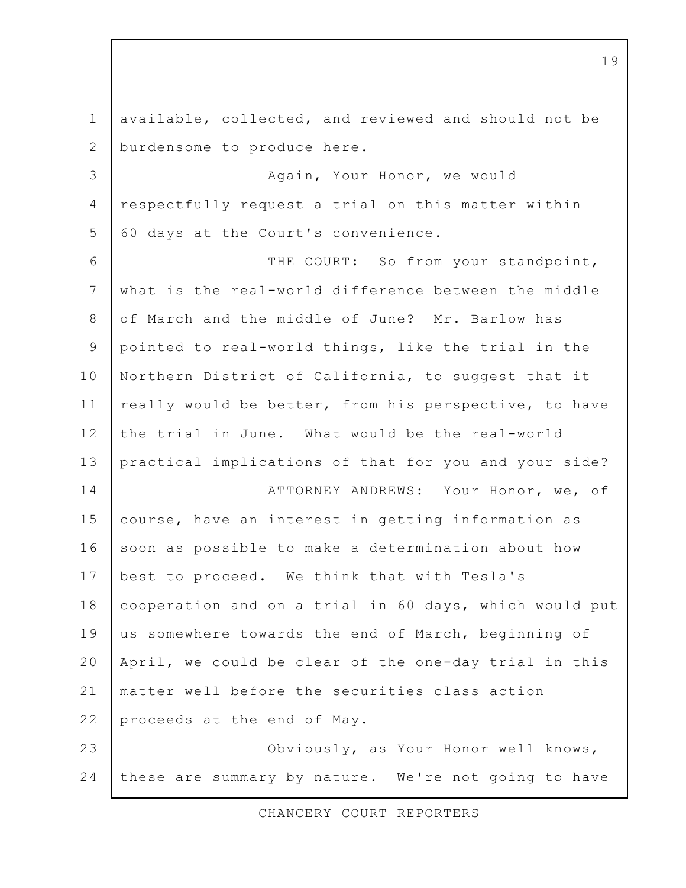available, collected, and reviewed and should not be  $\mathbf 1$ 2 burdensome to produce here. Again, Your Honor, we would 3 respectfully request a trial on this matter within  $\overline{4}$ 5 60 days at the Court's convenience. 6 THE COURT: So from your standpoint,  $7\overline{ }$ what is the real-world difference between the middle of March and the middle of June? Mr. Barlow has 8 pointed to real-world things, like the trial in the 9 10 Northern District of California, to suggest that it  $11$ really would be better, from his perspective, to have  $12$ the trial in June. What would be the real-world  $13$ practical implications of that for you and your side?  $14$ ATTORNEY ANDREWS: Your Honor, we, of course, have an interest in getting information as  $15$  $16$ soon as possible to make a determination about how  $17$ best to proceed. We think that with Tesla's 18 cooperation and on a trial in 60 days, which would put 19 us somewhere towards the end of March, beginning of 20 April, we could be clear of the one-day trial in this  $21$ matter well before the securities class action  $22$ proceeds at the end of May.  $2.3$ Obviously, as Your Honor well knows, 24 these are summary by nature. We're not going to have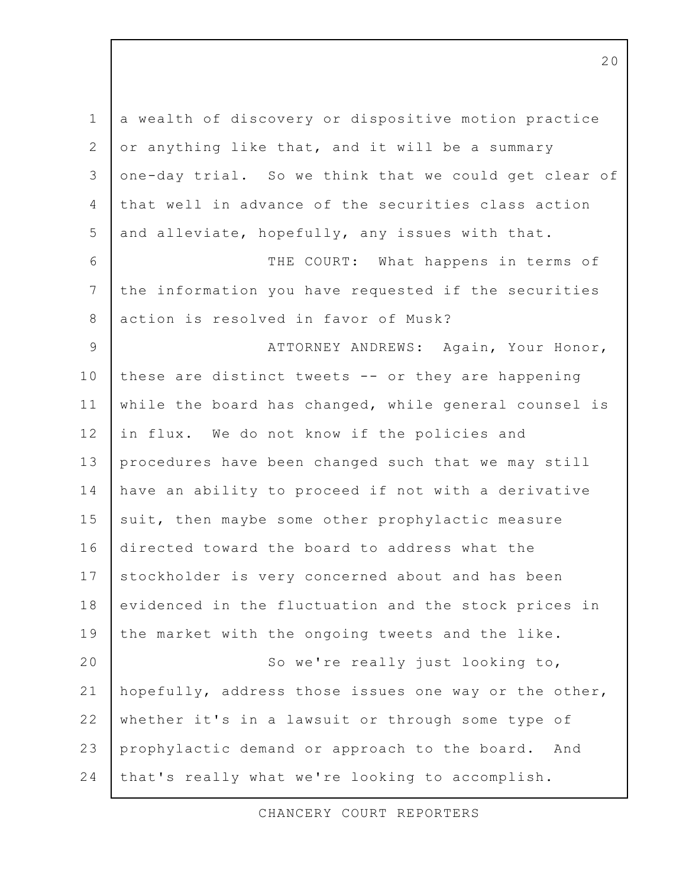a wealth of discovery or dispositive motion practice  $\mathbf 1$ 2 or anything like that, and it will be a summary one-day trial. So we think that we could get clear of  $\mathcal{E}$ that well in advance of the securities class action  $\overline{4}$ 5 and alleviate, hopefully, any issues with that. 6 THE COURT: What happens in terms of  $7\overline{ }$ the information you have requested if the securities action is resolved in favor of Musk? 8 ATTORNEY ANDREWS: Again, Your Honor, 9 10 these are distinct tweets -- or they are happening  $11$ while the board has changed, while general counsel is  $12$ in flux. We do not know if the policies and  $13$ procedures have been changed such that we may still 14 have an ability to proceed if not with a derivative  $15$ suit, then maybe some other prophylactic measure directed toward the board to address what the  $16$ 17 stockholder is very concerned about and has been 18 evidenced in the fluctuation and the stock prices in 19 the market with the ongoing tweets and the like.  $20$ So we're really just looking to,  $21$ hopefully, address those issues one way or the other,  $22$ whether it's in a lawsuit or through some type of  $2.3$ prophylactic demand or approach to the board. And 24 that's really what we're looking to accomplish.

CHANCERY COURT REPORTERS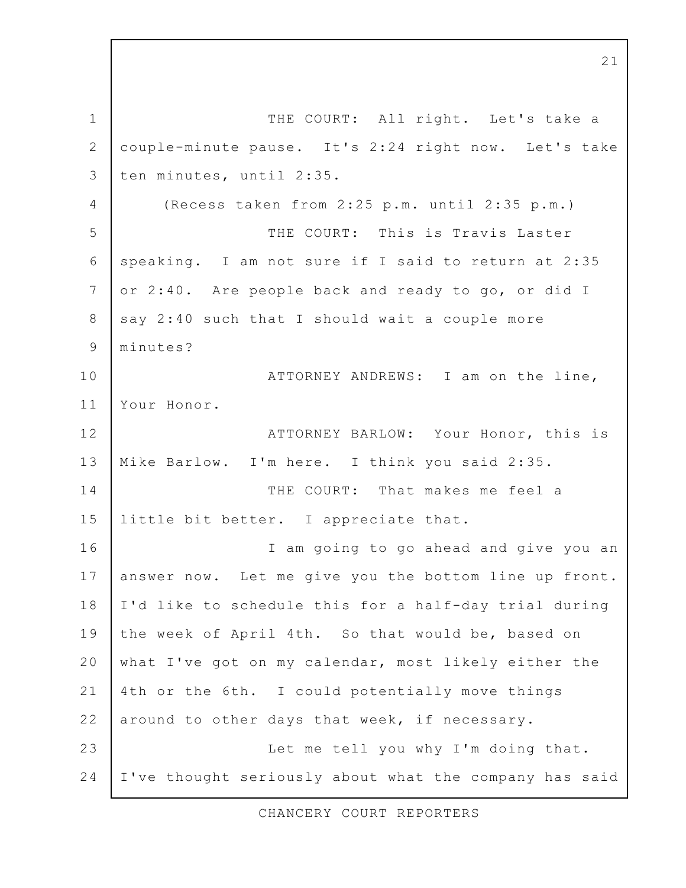$\mathbf 1$ THE COURT: All right. Let's take a  $\overline{2}$ couple-minute pause. It's 2:24 right now. Let's take ten minutes, until 2:35.  $\mathcal{E}$ (Recess taken from 2:25 p.m. until 2:35 p.m.)  $\overline{4}$ THE COURT: This is Travis Laster 5 6 speaking. I am not sure if I said to return at 2:35  $7\overline{ }$ or 2:40. Are people back and ready to go, or did I say 2:40 such that I should wait a couple more 8 9 minutes? 10 ATTORNEY ANDREWS: I am on the line,  $11$ Your Honor.  $12$ ATTORNEY BARLOW: Your Honor, this is  $13$ Mike Barlow. I'm here. I think you said 2:35. 14 THE COURT: That makes me feel a  $15$ little bit better. I appreciate that.  $16$ I am going to go ahead and give you an 17 answer now. Let me give you the bottom line up front. 18 I'd like to schedule this for a half-day trial during 19 the week of April 4th. So that would be, based on 20 what I've got on my calendar, most likely either the  $21$ 4th or the 6th. I could potentially move things  $22$ around to other days that week, if necessary.  $2.3$ Let me tell you why I'm doing that. 24 I've thought seriously about what the company has said

CHANCERY COURT REPORTERS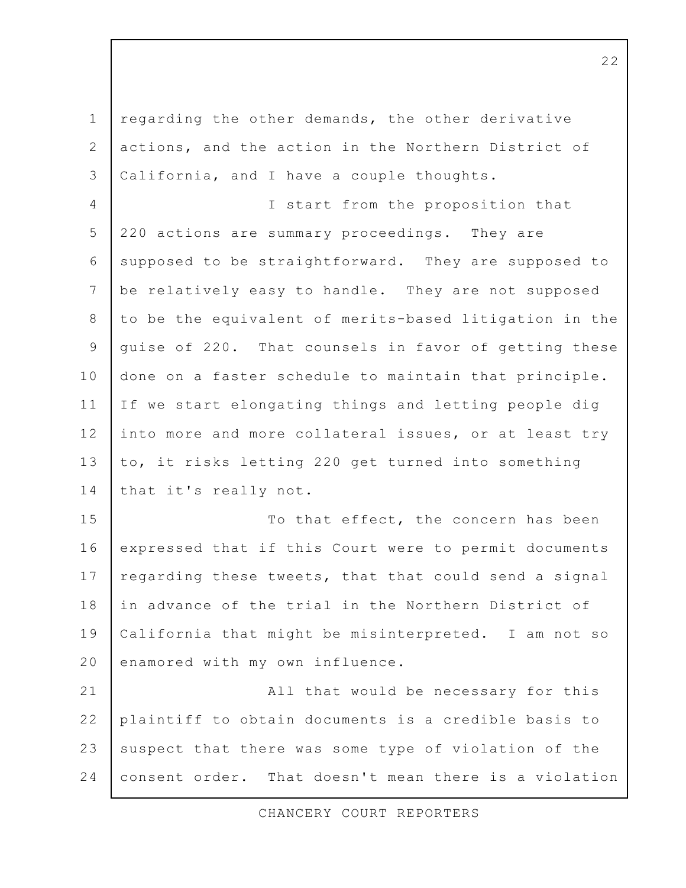regarding the other demands, the other derivative  $\mathbf 1$ 2 actions, and the action in the Northern District of 3 California, and I have a couple thoughts.  $\overline{4}$ I start from the proposition that 5 220 actions are summary proceedings. They are 6 supposed to be straightforward. They are supposed to  $7\overline{ }$ be relatively easy to handle. They are not supposed 8 to be the equivalent of merits-based litigation in the quise of 220. That counsels in favor of getting these 9 10 done on a faster schedule to maintain that principle.  $11$ If we start elongating things and letting people dig  $12$ into more and more collateral issues, or at least try  $13$ to, it risks letting 220 get turned into something 14 that it's really not. 15 To that effect, the concern has been  $16$ expressed that if this Court were to permit documents 17 regarding these tweets, that that could send a signal 18 in advance of the trial in the Northern District of 19 California that might be misinterpreted. I am not so 20 enamored with my own influence.  $21$ All that would be necessary for this  $22$ plaintiff to obtain documents is a credible basis to  $2.3$ suspect that there was some type of violation of the 24 consent order. That doesn't mean there is a violation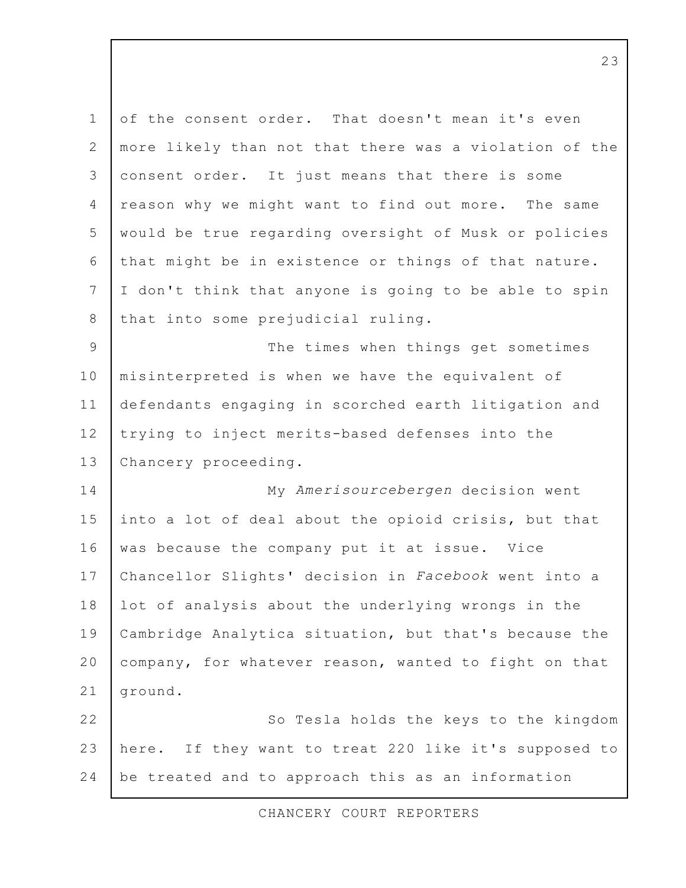of the consent order. That doesn't mean it's even  $\mathbf{1}$ 2 more likely than not that there was a violation of the consent order. It just means that there is some 3  $\overline{4}$ reason why we might want to find out more. The same 5 would be true regarding oversight of Musk or policies 6 that might be in existence or things of that nature. I don't think that anyone is going to be able to spin  $7\overline{ }$ 8 that into some prejudicial ruling. 9 The times when things get sometimes 10 misinterpreted is when we have the equivalent of  $11$ defendants engaging in scorched earth litigation and trying to inject merits-based defenses into the  $12$  $13$ Chancery proceeding. 14 My Amerisourcebergen decision went  $15$ into a lot of deal about the opioid crisis, but that  $16$ was because the company put it at issue. Vice  $17$ Chancellor Slights' decision in Facebook went into a lot of analysis about the underlying wrongs in the 18 19 Cambridge Analytica situation, but that's because the 20 company, for whatever reason, wanted to fight on that  $21$ ground.  $22$ So Tesla holds the keys to the kingdom  $2.3$ If they want to treat 220 like it's supposed to here. 24 be treated and to approach this as an information

CHANCERY COURT REPORTERS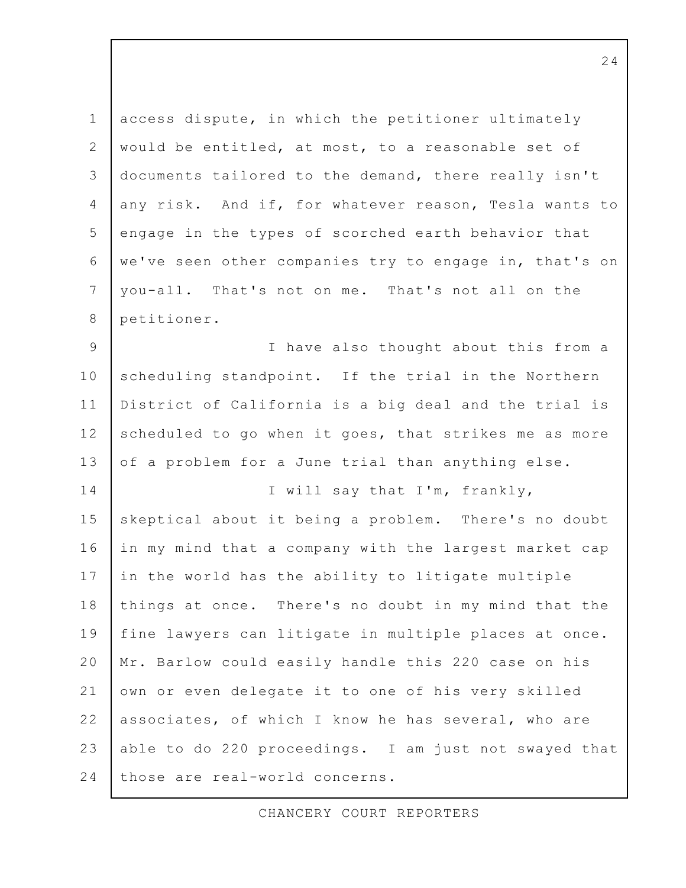access dispute, in which the petitioner ultimately  $\mathbf 1$ 2 would be entitled, at most, to a reasonable set of documents tailored to the demand, there really isn't  $\mathcal{E}$  $\overline{4}$ any risk. And if, for whatever reason, Tesla wants to 5 engage in the types of scorched earth behavior that 6 we've seen other companies try to engage in, that's on  $7\overline{ }$ you-all. That's not on me. That's not all on the 8 petitioner. I have also thought about this from a 9 10 scheduling standpoint. If the trial in the Northern  $11$ District of California is a big deal and the trial is  $12$ scheduled to go when it goes, that strikes me as more  $13$ of a problem for a June trial than anything else. 14 I will say that I'm, frankly,  $15$ skeptical about it being a problem. There's no doubt  $16$ in my mind that a company with the largest market cap 17 in the world has the ability to litigate multiple 18 things at once. There's no doubt in my mind that the 19 fine lawyers can litigate in multiple places at once. 20 Mr. Barlow could easily handle this 220 case on his  $21$ own or even delegate it to one of his very skilled  $22$ associates, of which I know he has several, who are 23 able to do 220 proceedings. I am just not swayed that 24 those are real-world concerns.

CHANCERY COURT REPORTERS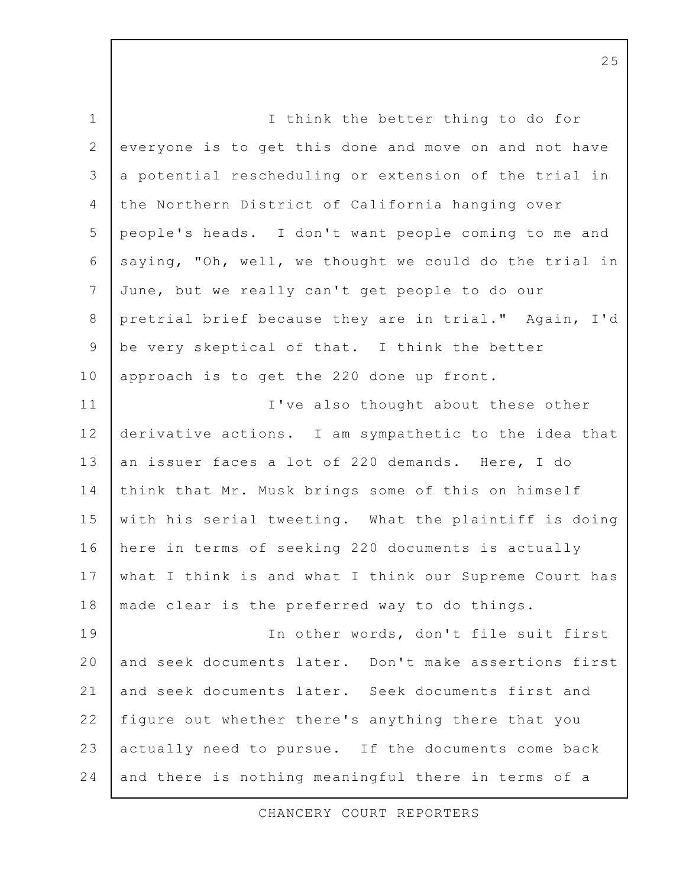I think the better thing to do for  $\mathbf 1$  $\overline{2}$ everyone is to get this done and move on and not have a potential rescheduling or extension of the trial in  $\mathcal{E}$ the Northern District of California hanging over  $\overline{4}$ 5 people's heads. I don't want people coming to me and 6 saying, "Oh, well, we thought we could do the trial in  $7\overline{ }$ June, but we really can't get people to do our 8 pretrial brief because they are in trial." Again, I'd be very skeptical of that. I think the better 9 10 approach is to get the 220 done up front.  $11$ I've also thought about these other  $12$ derivative actions. I am sympathetic to the idea that  $13$ an issuer faces a lot of 220 demands. Here, I do 14 think that Mr. Musk brings some of this on himself  $15$ with his serial tweeting. What the plaintiff is doing here in terms of seeking 220 documents is actually  $16$ what I think is and what I think our Supreme Court has 17 made clear is the preferred way to do things. 18 19 In other words, don't file suit first 20 and seek documents later. Don't make assertions first  $21$ and seek documents later. Seek documents first and  $22$ figure out whether there's anything there that you 23 actually need to pursue. If the documents come back 24 and there is nothing meaningful there in terms of a

CHANCERY COURT REPORTERS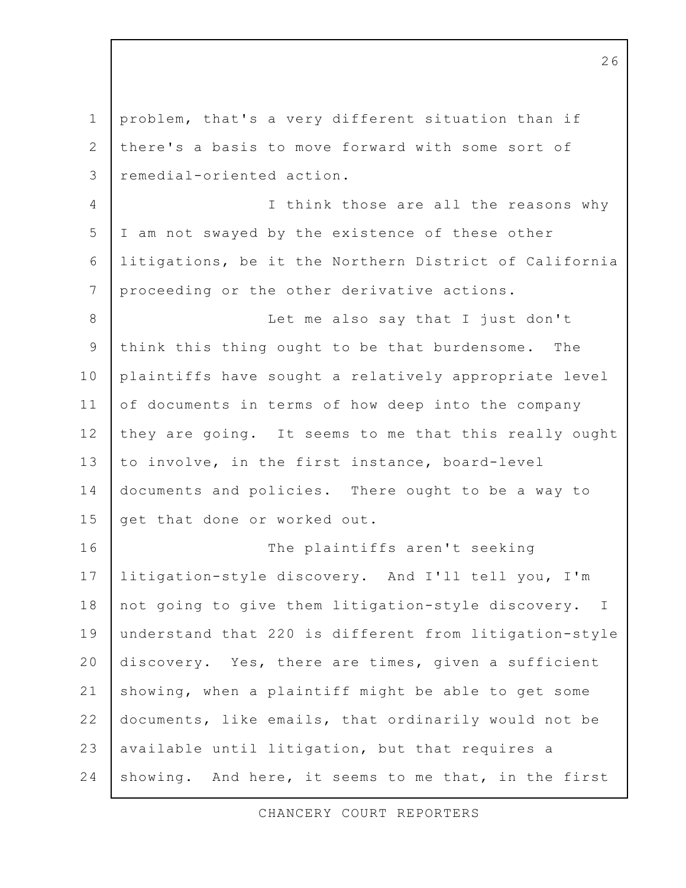problem, that's a very different situation than if  $\mathbf 1$ there's a basis to move forward with some sort of 2 remedial-oriented action. 3 I think those are all the reasons why  $\overline{4}$ 5 I am not swayed by the existence of these other litigations, be it the Northern District of California 6 7 proceeding or the other derivative actions. 8 Let me also say that I just don't think this thing ought to be that burdensome. 9 The 10 plaintiffs have sought a relatively appropriate level  $11$ of documents in terms of how deep into the company  $12$ they are going. It seems to me that this really ought  $13$ to involve, in the first instance, board-level 14 documents and policies. There ought to be a way to  $15$ get that done or worked out. The plaintiffs aren't seeking 16 17 litigation-style discovery. And I'll tell you, I'm 18 not going to give them litigation-style discovery.  $\perp$ 19 understand that 220 is different from litigation-style 20 discovery. Yes, there are times, given a sufficient  $21$ showing, when a plaintiff might be able to get some  $22$ documents, like emails, that ordinarily would not be  $2.3$ available until litigation, but that requires a 24 showing. And here, it seems to me that, in the first

CHANCERY COURT REPORTERS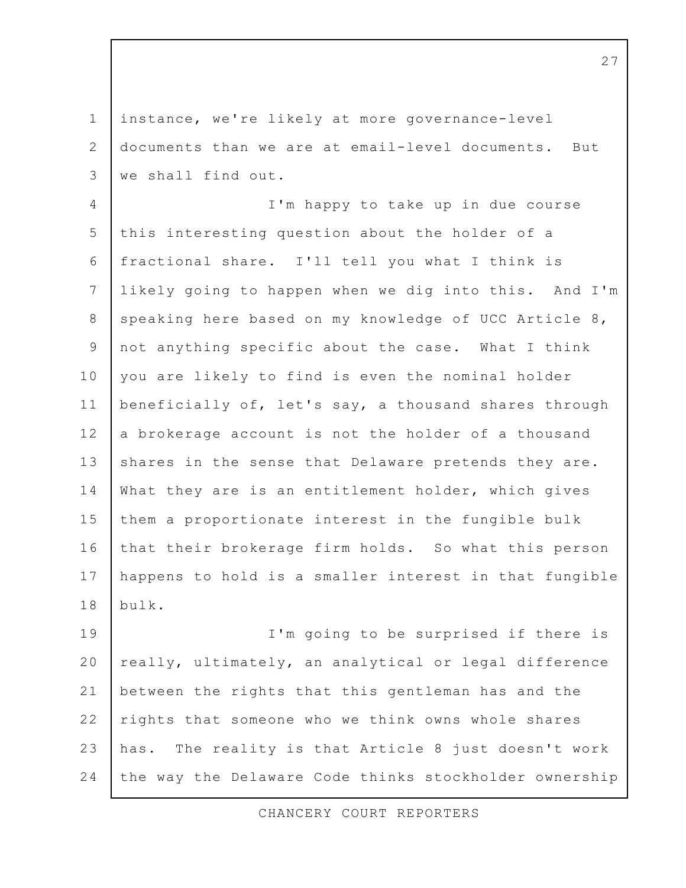instance, we're likely at more governance-level  $\mathbf{1}$  $\overline{2}$ documents than we are at email-level documents. But we shall find out. 3 I'm happy to take up in due course  $\overline{4}$ 5 this interesting question about the holder of a fractional share. I'll tell you what I think is 6 7 likely going to happen when we dig into this. And I'm 8 speaking here based on my knowledge of UCC Article 8, not anything specific about the case. What I think 9 10 you are likely to find is even the nominal holder  $11$ beneficially of, let's say, a thousand shares through  $12$ a brokerage account is not the holder of a thousand  $13$ shares in the sense that Delaware pretends they are. 14 What they are is an entitlement holder, which gives  $15$ them a proportionate interest in the fungible bulk  $16$ that their brokerage firm holds. So what this person 17 happens to hold is a smaller interest in that fungible 18 bulk. 19 I'm going to be surprised if there is 20 really, ultimately, an analytical or legal difference  $21$ between the rights that this gentleman has and the  $22$ rights that someone who we think owns whole shares  $2.3$ has. The reality is that Article 8 just doesn't work 24 the way the Delaware Code thinks stockholder ownership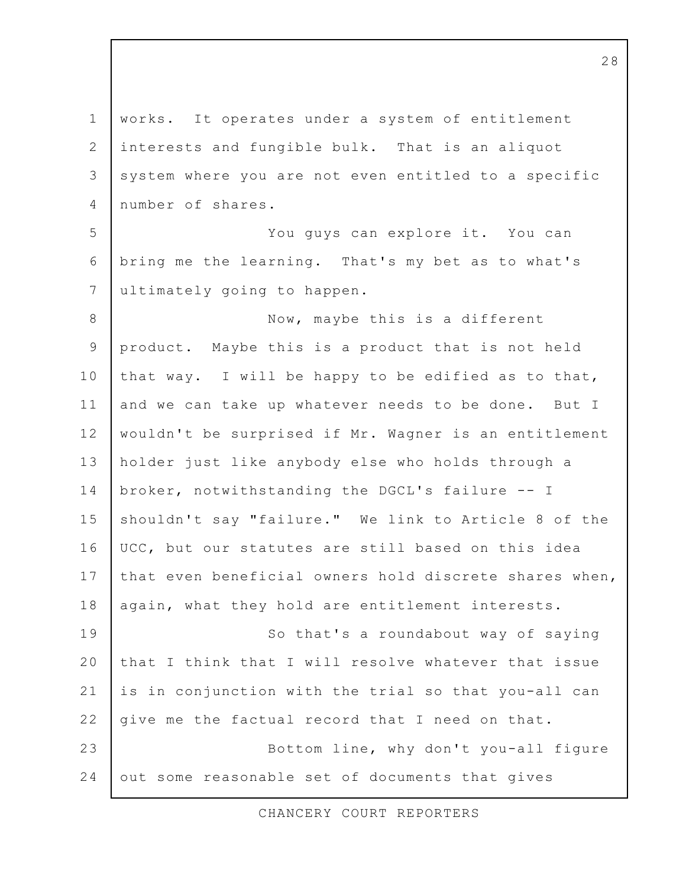$\mathbf 1$ works. It operates under a system of entitlement  $\overline{2}$ interests and fungible bulk. That is an aliquot system where you are not even entitled to a specific  $\mathcal{E}$ number of shares.  $\overline{4}$ 5 You guys can explore it. You can 6 bring me the learning. That's my bet as to what's  $7\overline{ }$ ultimately going to happen. 8 Now, maybe this is a different product. Maybe this is a product that is not held 9 10 that way. I will be happy to be edified as to that,  $11$ and we can take up whatever needs to be done. But I  $12$ wouldn't be surprised if Mr. Wagner is an entitlement  $13$ holder just like anybody else who holds through a 14 broker, notwithstanding the DGCL's failure -- I  $15$ shouldn't say "failure." We link to Article 8 of the  $16$ UCC, but our statutes are still based on this idea that even beneficial owners hold discrete shares when,  $17$ 18 again, what they hold are entitlement interests. 19 So that's a roundabout way of saying  $20$ that I think that I will resolve whatever that issue  $21$ is in conjunction with the trial so that you-all can  $22$ give me the factual record that I need on that.  $2.3$ Bottom line, why don't you-all figure 24 out some reasonable set of documents that gives

CHANCERY COURT REPORTERS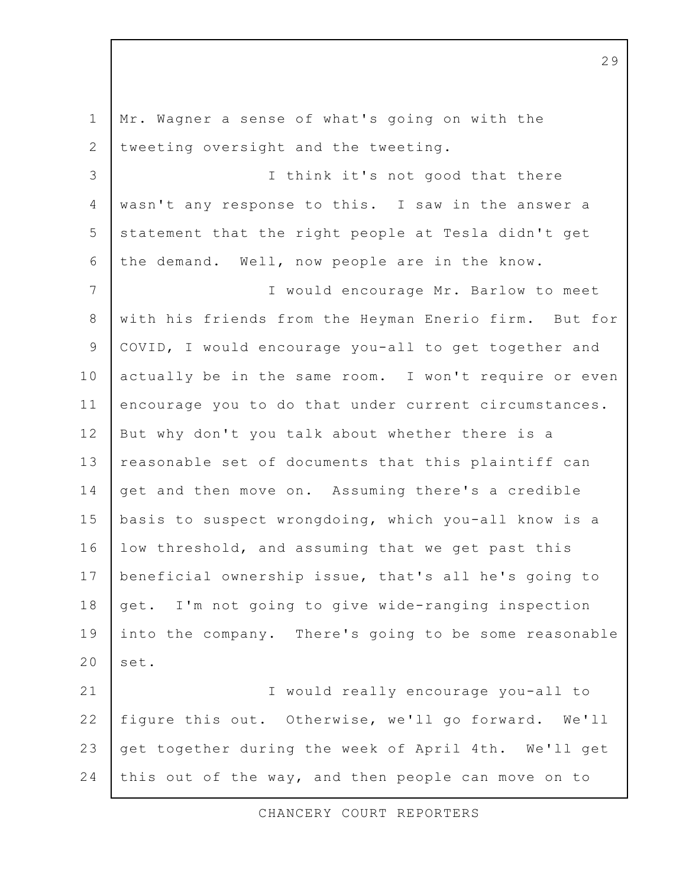$\mathbf 1$ Mr. Wagner a sense of what's going on with the  $\overline{2}$ tweeting oversight and the tweeting. I think it's not good that there 3  $\overline{4}$ wasn't any response to this. I saw in the answer a 5 statement that the right people at Tesla didn't get 6 the demand. Well, now people are in the know. 7 I would encourage Mr. Barlow to meet 8 with his friends from the Heyman Enerio firm. But for COVID, I would encourage you-all to get together and 9 10 actually be in the same room. I won't require or even  $11$ encourage you to do that under current circumstances.  $12$ But why don't you talk about whether there is a  $13$ reasonable set of documents that this plaintiff can 14 get and then move on. Assuming there's a credible  $15$ basis to suspect wrongdoing, which you-all know is a 16 low threshold, and assuming that we get past this 17 beneficial ownership issue, that's all he's going to 18 get. I'm not going to give wide-ranging inspection 19 into the company. There's going to be some reasonable  $20$ set.  $21$ I would really encourage you-all to  $22$ figure this out. Otherwise, we'll go forward. We'll 23 get together during the week of April 4th. We'll get 24 this out of the way, and then people can move on to

CHANCERY COURT REPORTERS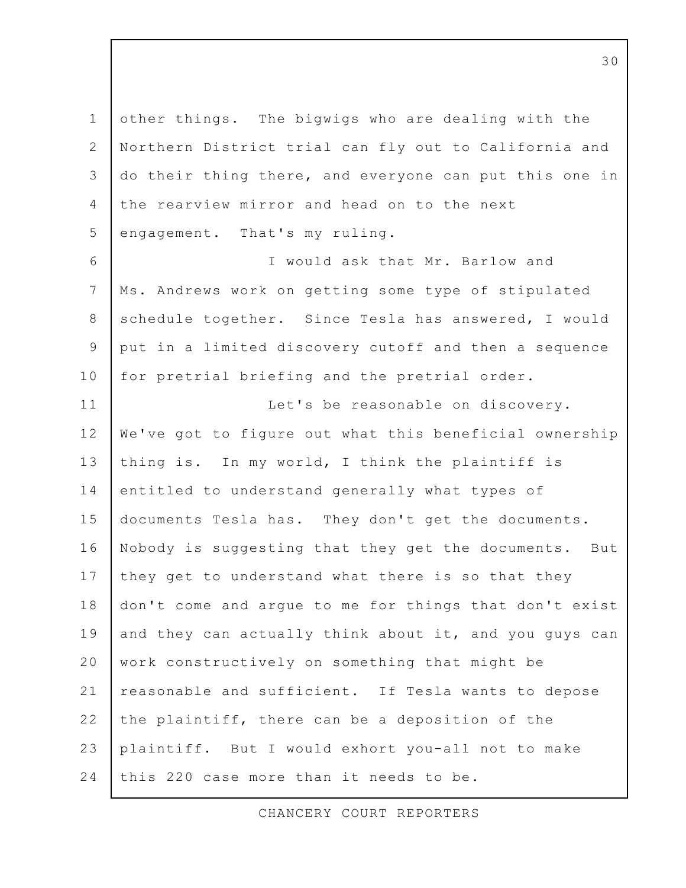$\mathbf 1$ other things. The bigwigs who are dealing with the 2 Northern District trial can fly out to California and do their thing there, and everyone can put this one in  $\mathcal{E}$ the rearview mirror and head on to the next  $\overline{4}$ 5 engagement. That's my ruling. I would ask that Mr. Barlow and 6  $7\overline{ }$ Ms. Andrews work on getting some type of stipulated 8 schedule together. Since Tesla has answered, I would put in a limited discovery cutoff and then a sequence 9 10 for pretrial briefing and the pretrial order.  $11$ Let's be reasonable on discovery.  $12$ We've got to figure out what this beneficial ownership  $13$ thing is. In my world, I think the plaintiff is 14 entitled to understand generally what types of  $15$ documents Tesla has. They don't get the documents.  $16$ Nobody is suggesting that they get the documents. But 17 they get to understand what there is so that they 18 don't come and argue to me for things that don't exist 19 and they can actually think about it, and you guys can 20 work constructively on something that might be reasonable and sufficient. If Tesla wants to depose  $21$  $22$ the plaintiff, there can be a deposition of the 23 plaintiff. But I would exhort you-all not to make 24 this 220 case more than it needs to be.

CHANCERY COURT REPORTERS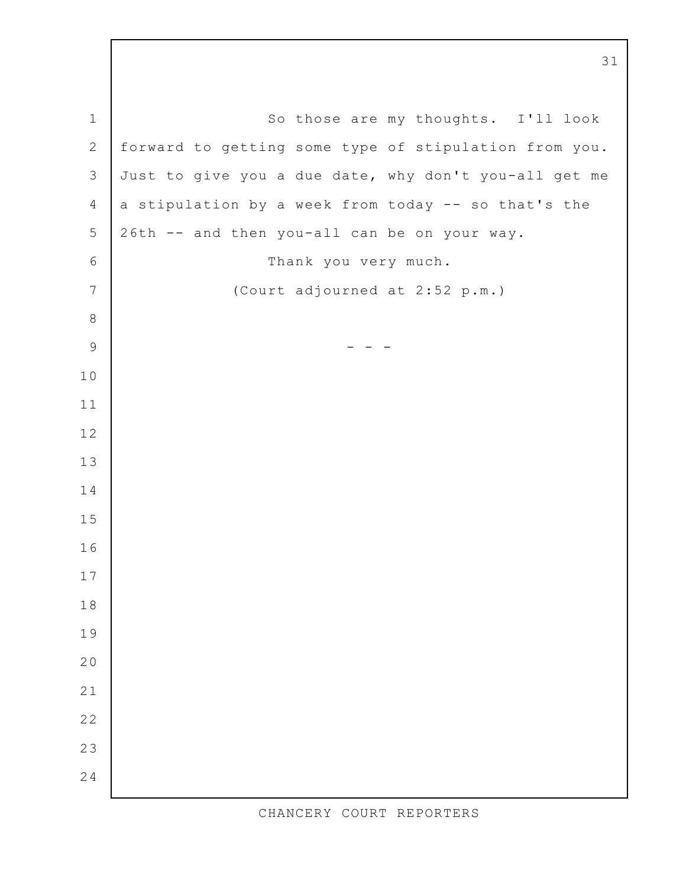$\mathbf 1$ So those are my thoughts. I'll look  $\overline{2}$ forward to getting some type of stipulation from you. Just to give you a due date, why don't you-all get me a stipulation by a week from today -- so that's the  $\overline{4}$ 26th -- and then you-all can be on your way. Thank you very much.  $\overline{7}$ (Court adjourned at 2:52 p.m.)